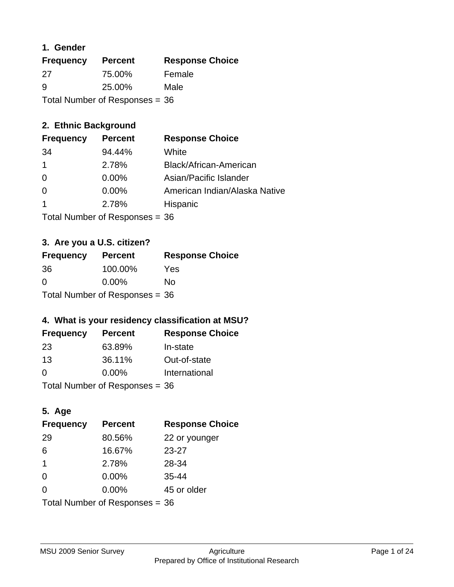#### **1. Gender**

| <b>Frequency</b> | <b>Percent</b>                   | <b>Response Choice</b> |
|------------------|----------------------------------|------------------------|
| 27               | 75.00%                           | Female                 |
| 9                | 25.00%                           | Male                   |
|                  | Total Number of Responses = $36$ |                        |

# **2. Ethnic Background**

| <b>Frequency</b> | <b>Percent</b> | <b>Response Choice</b>        |
|------------------|----------------|-------------------------------|
| 34               | 94.44%         | White                         |
| $\overline{1}$   | 2.78%          | Black/African-American        |
| $\overline{0}$   | 0.00%          | Asian/Pacific Islander        |
| -0               | $0.00\%$       | American Indian/Alaska Native |
| $\mathbf 1$      | 2.78%          | Hispanic                      |
|                  |                |                               |

Total Number of Responses = 36

# **3. Are you a U.S. citizen?**

| <b>Frequency</b>               | <b>Percent</b> | <b>Response Choice</b> |
|--------------------------------|----------------|------------------------|
| 36                             | 100.00%        | Yes                    |
| $\Omega$                       | $0.00\%$       | Nο                     |
| Total Number of Responses = 36 |                |                        |

# **4. What is your residency classification at MSU?**

| <b>Frequency</b> | <b>Percent</b> | <b>Response Choice</b> |
|------------------|----------------|------------------------|
| -23              | 63.89%         | In-state               |
| 13               | 36.11%         | Out-of-state           |
| $\Omega$         | $0.00\%$       | International          |
|                  |                |                        |

Total Number of Responses = 36

# **5. Age**

| <b>Frequency</b>                 | <b>Percent</b> | <b>Response Choice</b> |
|----------------------------------|----------------|------------------------|
| 29                               | 80.56%         | 22 or younger          |
| 6                                | 16.67%         | $23 - 27$              |
| $\overline{\mathbf{1}}$          | 2.78%          | 28-34                  |
| $\Omega$                         | $0.00\%$       | $35 - 44$              |
| $\Omega$                         | 0.00%          | 45 or older            |
| Total Number of Responses = $36$ |                |                        |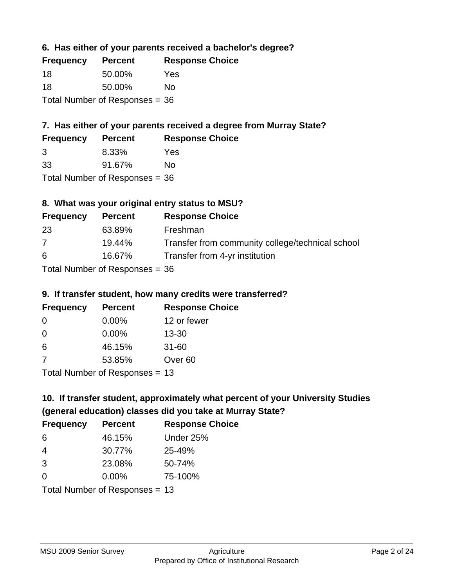#### **6. Has either of your parents received a bachelor's degree?**

| <b>Frequency</b> | <b>Percent</b>                   | <b>Response Choice</b> |
|------------------|----------------------------------|------------------------|
| 18               | 50.00%                           | Yes                    |
| 18               | 50.00%                           | No                     |
|                  | Total Number of Responses $= 36$ |                        |

# **7. Has either of your parents received a degree from Murray State?**

| <b>Frequency</b> | <b>Percent</b> | <b>Response Choice</b> |
|------------------|----------------|------------------------|
| -3               | 8.33%          | Yes                    |
| 33               | 91.67%         | No.                    |

Total Number of Responses = 36

# **8. What was your original entry status to MSU?**

| <b>Frequency</b> | <b>Percent</b>                   | <b>Response Choice</b>                           |
|------------------|----------------------------------|--------------------------------------------------|
| 23               | 63.89%                           | Freshman                                         |
| 7                | 19.44%                           | Transfer from community college/technical school |
| 6                | 16.67%                           | Transfer from 4-yr institution                   |
|                  | Total Number of Responses $=$ 36 |                                                  |

# **9. If transfer student, how many credits were transferred?**

| <b>Frequency</b>               | <b>Percent</b> | <b>Response Choice</b> |
|--------------------------------|----------------|------------------------|
| -0                             | $0.00\%$       | 12 or fewer            |
| 0                              | $0.00\%$       | $13 - 30$              |
| 6                              | 46.15%         | $31 - 60$              |
| -7                             | 53.85%         | Over <sub>60</sub>     |
| Total Number of Poenances - 13 |                |                        |

I otal Number of Responses = 13

# **10. If transfer student, approximately what percent of your University Studies (general education) classes did you take at Murray State?**

| <b>Frequency</b>               | <b>Percent</b> | <b>Response Choice</b> |
|--------------------------------|----------------|------------------------|
| -6                             | 46.15%         | Under 25%              |
| -4                             | 30.77%         | 25-49%                 |
| 3                              | 23.08%         | 50-74%                 |
| $\Omega$                       | 0.00%          | 75-100%                |
| Total Number of Responses = 13 |                |                        |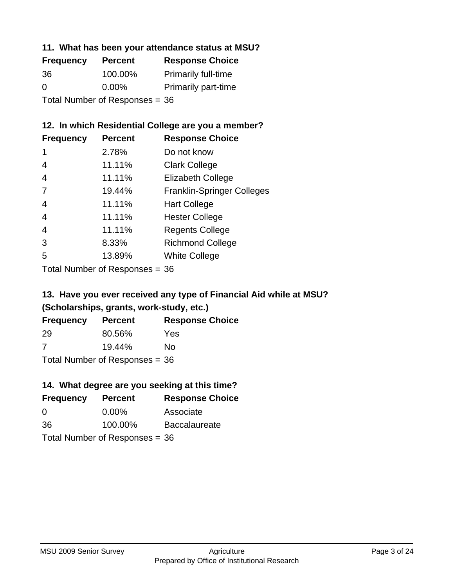#### **11. What has been your attendance status at MSU?**

| <b>Frequency</b> | <b>Percent</b>                 | <b>Response Choice</b>     |
|------------------|--------------------------------|----------------------------|
| 36               | 100.00%                        | <b>Primarily full-time</b> |
| $\Omega$         | $0.00\%$                       | <b>Primarily part-time</b> |
|                  | Total Number of Responses = 36 |                            |

# **12. In which Residential College are you a member?**

| <b>Frequency</b> | <b>Percent</b> | <b>Response Choice</b>            |
|------------------|----------------|-----------------------------------|
| 1                | 2.78%          | Do not know                       |
| 4                | 11.11%         | <b>Clark College</b>              |
| 4                | 11.11%         | <b>Elizabeth College</b>          |
| 7                | 19.44%         | <b>Franklin-Springer Colleges</b> |
| 4                | 11.11%         | <b>Hart College</b>               |
| $\overline{4}$   | 11.11%         | <b>Hester College</b>             |
| 4                | 11.11%         | <b>Regents College</b>            |
| 3                | 8.33%          | <b>Richmond College</b>           |
| 5                | 13.89%         | <b>White College</b>              |
|                  |                |                                   |

Total Number of Responses = 36

#### **13. Have you ever received any type of Financial Aid while at MSU? (Scholarships, grants, work-study, etc.)**

| Frequency                        | <b>Percent</b> | <b>Response Choice</b> |  |
|----------------------------------|----------------|------------------------|--|
| 29                               | 80.56%         | Yes                    |  |
| 7                                | 19.44%         | No.                    |  |
| Total Number of Responses = $36$ |                |                        |  |

# **14. What degree are you seeking at this time?**

| <b>Frequency</b> | <b>Percent</b>                   | <b>Response Choice</b> |
|------------------|----------------------------------|------------------------|
| 0                | $0.00\%$                         | Associate              |
| 36               | 100.00%                          | <b>Baccalaureate</b>   |
|                  | Total Number of Responses $= 36$ |                        |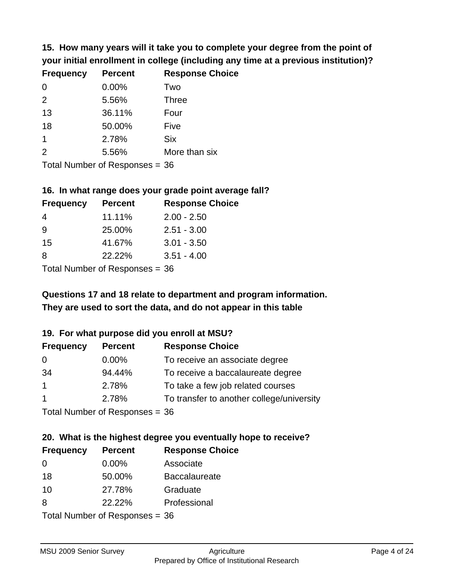**15. How many years will it take you to complete your degree from the point of your initial enrollment in college (including any time at a previous institution)?**

| <b>Frequency</b> | <b>Percent</b> | <b>Response Choice</b> |
|------------------|----------------|------------------------|
| $\Omega$         | 0.00%          | Two                    |
| 2                | 5.56%          | <b>Three</b>           |
| 13               | 36.11%         | Four                   |
| 18               | 50.00%         | Five                   |
| 1                | 2.78%          | <b>Six</b>             |
| 2                | 5.56%          | More than six          |
|                  |                |                        |

Total Number of Responses = 36

#### **16. In what range does your grade point average fall?**

| <b>Frequency</b> | <b>Percent</b> | <b>Response Choice</b> |
|------------------|----------------|------------------------|
| -4               | 11.11%         | $2.00 - 2.50$          |
| 9                | 25.00%         | $2.51 - 3.00$          |
| 15               | 41.67%         | $3.01 - 3.50$          |
| 8                | 22.22%         | $3.51 - 4.00$          |
|                  |                |                        |

Total Number of Responses = 36

# **They are used to sort the data, and do not appear in this table Questions 17 and 18 relate to department and program information.**

#### **19. For what purpose did you enroll at MSU?**

| <b>Frequency</b> | <b>Percent</b>             | <b>Response Choice</b>                    |
|------------------|----------------------------|-------------------------------------------|
| 0                | $0.00\%$                   | To receive an associate degree            |
| 34               | 94.44%                     | To receive a baccalaureate degree         |
| $\overline{1}$   | 2.78%                      | To take a few job related courses         |
| $\overline{1}$   | 2.78%                      | To transfer to another college/university |
|                  | Total Number of DoEROR 222 |                                           |

Total Number of Responses = 36

# **20. What is the highest degree you eventually hope to receive?**

| <b>Frequency</b> | <b>Percent</b>                 | <b>Response Choice</b> |
|------------------|--------------------------------|------------------------|
| 0                | $0.00\%$                       | Associate              |
| 18               | 50.00%                         | <b>Baccalaureate</b>   |
| 10               | 27.78%                         | Graduate               |
| 8                | 22.22%                         | Professional           |
|                  | Total Number of Responses = 36 |                        |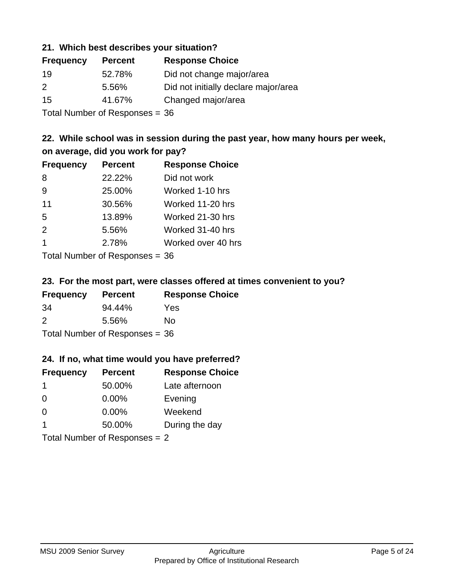#### **21. Which best describes your situation?**

| <b>Frequency</b> | <b>Percent</b> | <b>Response Choice</b>               |
|------------------|----------------|--------------------------------------|
| 19               | 52.78%         | Did not change major/area            |
| $\mathcal{P}$    | 5.56%          | Did not initially declare major/area |
| 15               | 41.67%         | Changed major/area                   |
|                  |                |                                      |

Total Number of Responses = 36

# **22. While school was in session during the past year, how many hours per week, on average, did you work for pay?**

| <b>Frequency</b> | <b>Percent</b> | <b>Response Choice</b> |
|------------------|----------------|------------------------|
| 8                | 22.22%         | Did not work           |
| 9                | 25.00%         | Worked 1-10 hrs        |
| 11               | 30.56%         | Worked 11-20 hrs       |
| 5                | 13.89%         | Worked 21-30 hrs       |
| 2                | 5.56%          | Worked 31-40 hrs       |
| 1                | 2.78%          | Worked over 40 hrs     |
|                  |                |                        |

Total Number of Responses = 36

#### **23. For the most part, were classes offered at times convenient to you?**

| <b>Frequency</b>                 | <b>Percent</b> | <b>Response Choice</b> |
|----------------------------------|----------------|------------------------|
| -34                              | 94.44%         | Yes                    |
| $\mathcal{P}$                    | 5.56%          | No.                    |
| Total Number of Responses = $36$ |                |                        |

#### **24. If no, what time would you have preferred?**

| <b>Frequency</b> | <b>Percent</b>                  | <b>Response Choice</b> |
|------------------|---------------------------------|------------------------|
| $\mathbf 1$      | 50.00%                          | Late afternoon         |
| $\overline{0}$   | $0.00\%$                        | Evening                |
| 0                | $0.00\%$                        | Weekend                |
| -1               | 50.00%                          | During the day         |
|                  | Total Number of Responses = $2$ |                        |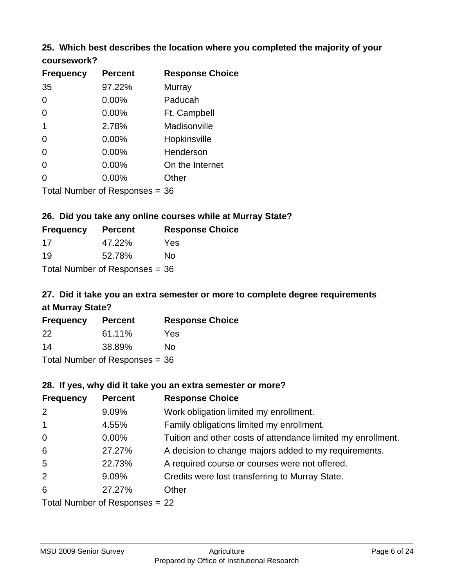# **25. Which best describes the location where you completed the majority of your**

| coursework? |  |
|-------------|--|
|-------------|--|

| <b>Frequency</b> | <b>Percent</b>                   | <b>Response Choice</b> |
|------------------|----------------------------------|------------------------|
| 35               | 97.22%                           | Murray                 |
| 0                | 0.00%                            | Paducah                |
| 0                | 0.00%                            | Ft. Campbell           |
| 1                | 2.78%                            | Madisonville           |
| 0                | $0.00\%$                         | Hopkinsville           |
| 0                | 0.00%                            | Henderson              |
| 0                | 0.00%                            | On the Internet        |
| 0                | 0.00%                            | Other                  |
|                  | Total Number of Responses $=$ 36 |                        |

## **26. Did you take any online courses while at Murray State?**

| <b>Frequency</b>                 | <b>Percent</b> | <b>Response Choice</b> |
|----------------------------------|----------------|------------------------|
| 17                               | 47.22%         | Yes                    |
| 19                               | 52.78%         | No                     |
| Total Number of Responses = $36$ |                |                        |

# **27. Did it take you an extra semester or more to complete degree requirements at Murray State?**

| <b>Frequency</b> | <b>Percent</b>                   | <b>Response Choice</b> |
|------------------|----------------------------------|------------------------|
| 22               | 61.11%                           | Yes                    |
| 14               | 38.89%                           | No                     |
|                  | Total Number of Responses = $36$ |                        |

#### **28. If yes, why did it take you an extra semester or more?**

| <b>Frequency</b>               | <b>Percent</b> | <b>Response Choice</b>                                       |
|--------------------------------|----------------|--------------------------------------------------------------|
| 2                              | 9.09%          | Work obligation limited my enrollment.                       |
| $\overline{1}$                 | 4.55%          | Family obligations limited my enrollment.                    |
| $\mathbf 0$                    | $0.00\%$       | Tuition and other costs of attendance limited my enrollment. |
| 6                              | 27.27%         | A decision to change majors added to my requirements.        |
| $5\phantom{.0}$                | 22.73%         | A required course or courses were not offered.               |
| 2                              | 9.09%          | Credits were lost transferring to Murray State.              |
| 6                              | 27.27%         | Other                                                        |
| Total Number of Responses = 22 |                |                                                              |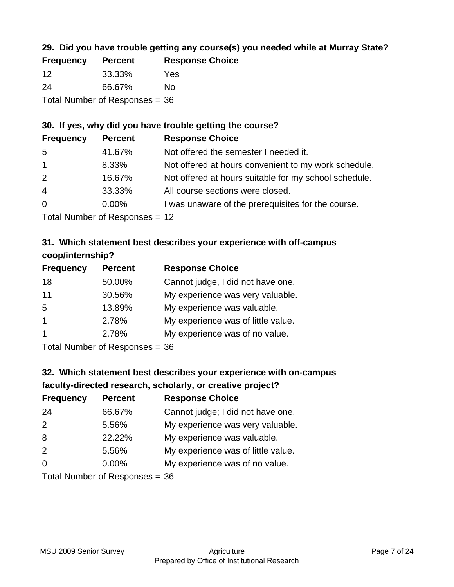# **29. Did you have trouble getting any course(s) you needed while at Murray State?**

| <b>Frequency</b>                 | <b>Percent</b> | <b>Response Choice</b> |
|----------------------------------|----------------|------------------------|
| -12                              | 33.33%         | Yes                    |
| -24                              | 66.67%         | Nο                     |
| Total Number of Responses $= 36$ |                |                        |

#### **30. If yes, why did you have trouble getting the course?**

| <b>Frequency</b> | <b>Percent</b> | <b>Response Choice</b>                                |
|------------------|----------------|-------------------------------------------------------|
| -5               | 41.67%         | Not offered the semester I needed it.                 |
| $\overline{1}$   | 8.33%          | Not offered at hours convenient to my work schedule.  |
| 2                | 16.67%         | Not offered at hours suitable for my school schedule. |
| $\overline{4}$   | 33.33%         | All course sections were closed.                      |
| $\overline{0}$   | $0.00\%$       | I was unaware of the prerequisites for the course.    |
|                  |                |                                                       |

Total Number of Responses = 12

# **31. Which statement best describes your experience with off-campus coop/internship?**

| <b>Frequency</b> | <b>Percent</b> | <b>Response Choice</b>             |
|------------------|----------------|------------------------------------|
| 18               | 50.00%         | Cannot judge, I did not have one.  |
| 11               | 30.56%         | My experience was very valuable.   |
| 5                | 13.89%         | My experience was valuable.        |
| $\overline{1}$   | 2.78%          | My experience was of little value. |
| $\overline{1}$   | 2.78%          | My experience was of no value.     |
|                  |                |                                    |

Total Number of Responses = 36

# **32. Which statement best describes your experience with on-campus faculty-directed research, scholarly, or creative project?**

| <b>Frequency</b> | <b>Percent</b>               | <b>Response Choice</b>             |
|------------------|------------------------------|------------------------------------|
| 24               | 66.67%                       | Cannot judge; I did not have one.  |
| 2                | 5.56%                        | My experience was very valuable.   |
| 8                | 22.22%                       | My experience was valuable.        |
| 2                | 5.56%                        | My experience was of little value. |
| $\Omega$         | 0.00%                        | My experience was of no value.     |
|                  | Total Number of Deepensee 26 |                                    |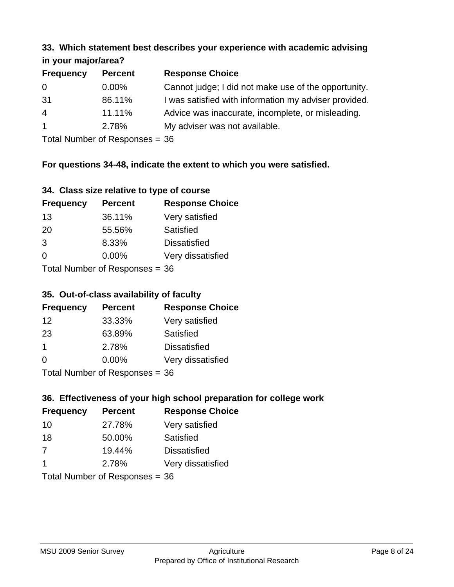#### **33. Which statement best describes your experience with academic advising in your major/area?**

| $\cdots$ your mapping out |                |                                                       |
|---------------------------|----------------|-------------------------------------------------------|
| <b>Frequency</b>          | <b>Percent</b> | <b>Response Choice</b>                                |
| 0                         | $0.00\%$       | Cannot judge; I did not make use of the opportunity.  |
| 31                        | 86.11%         | I was satisfied with information my adviser provided. |
| $\overline{4}$            | 11.11%         | Advice was inaccurate, incomplete, or misleading.     |
| $\mathbf{1}$              | 2.78%          | My adviser was not available.                         |
|                           |                |                                                       |

Total Number of Responses = 36

# **For questions 34-48, indicate the extent to which you were satisfied.**

#### **34. Class size relative to type of course**

| <b>Frequency</b> | <b>Percent</b>                  | <b>Response Choice</b> |
|------------------|---------------------------------|------------------------|
| 13               | 36.11%                          | Very satisfied         |
| -20              | 55.56%                          | Satisfied              |
| 3                | 8.33%                           | <b>Dissatisfied</b>    |
| $\Omega$         | $0.00\%$                        | Very dissatisfied      |
|                  | Total Number of Responses $-36$ |                        |

I otal Number of Responses  $=$  36

# **35. Out-of-class availability of faculty**

| <b>Frequency</b>          | <b>Percent</b> | <b>Response Choice</b> |
|---------------------------|----------------|------------------------|
| 12                        | 33.33%         | Very satisfied         |
| 23                        | 63.89%         | Satisfied              |
| $\mathbf 1$               | 2.78%          | <b>Dissatisfied</b>    |
| $\Omega$                  | 0.00%          | Very dissatisfied      |
| Total Number of Desponses |                |                        |

Total Number of Responses = 36

# **36. Effectiveness of your high school preparation for college work**

| <b>Frequency</b>        | <b>Percent</b>                 | <b>Response Choice</b> |
|-------------------------|--------------------------------|------------------------|
| 10                      | 27.78%                         | Very satisfied         |
| 18                      | 50.00%                         | Satisfied              |
| 7                       | 19.44%                         | <b>Dissatisfied</b>    |
| $\overline{\mathbf{1}}$ | 2.78%                          | Very dissatisfied      |
|                         | Total Number of Responses = 36 |                        |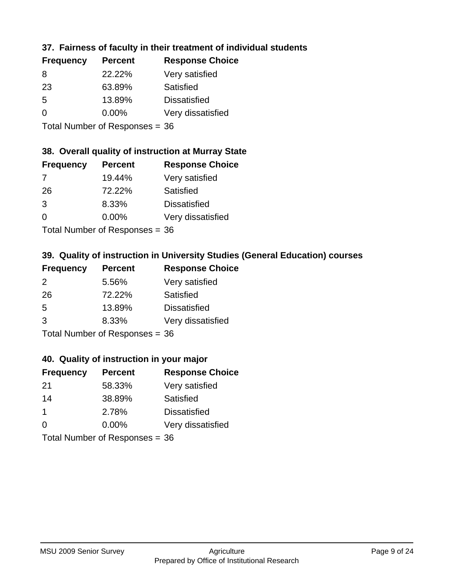# **37. Fairness of faculty in their treatment of individual students**

| <b>Frequency</b> | <b>Percent</b> | <b>Response Choice</b> |
|------------------|----------------|------------------------|
| 8                | 22.22%         | Very satisfied         |
| 23               | 63.89%         | Satisfied              |
| 5                | 13.89%         | <b>Dissatisfied</b>    |
| $\Omega$         | $0.00\%$       | Very dissatisfied      |
|                  |                |                        |

Total Number of Responses = 36

#### **38. Overall quality of instruction at Murray State**

| <b>Frequency</b> | <b>Percent</b>            | <b>Response Choice</b> |
|------------------|---------------------------|------------------------|
| 7                | 19.44%                    | Very satisfied         |
| 26               | 72.22%                    | Satisfied              |
| 3                | 8.33%                     | <b>Dissatisfied</b>    |
| $\Omega$         | 0.00%                     | Very dissatisfied      |
|                  | Total Number of Deepersee |                        |

Total Number of Responses = 36

# **39. Quality of instruction in University Studies (General Education) courses**

| <b>Frequency</b> | <b>Percent</b>                  | <b>Response Choice</b> |
|------------------|---------------------------------|------------------------|
| $\mathcal{P}$    | 5.56%                           | Very satisfied         |
| 26               | 72.22%                          | Satisfied              |
| 5                | 13.89%                          | <b>Dissatisfied</b>    |
| 3                | 8.33%                           | Very dissatisfied      |
|                  | $Total Number of Denonose = 26$ |                        |

Total Number of Responses  $= 36$ 

# **40. Quality of instruction in your major**

| <b>Frequency</b> | <b>Percent</b>            | <b>Response Choice</b> |
|------------------|---------------------------|------------------------|
| 21               | 58.33%                    | Very satisfied         |
| 14               | 38.89%                    | Satisfied              |
| -1               | 2.78%                     | <b>Dissatisfied</b>    |
| $\Omega$         | 0.00%                     | Very dissatisfied      |
|                  | Total Number of Desponses |                        |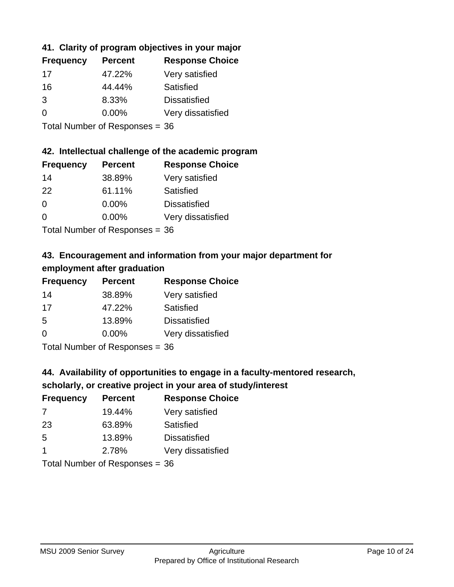# **41. Clarity of program objectives in your major**

| <b>Frequency</b> | <b>Percent</b> | <b>Response Choice</b> |
|------------------|----------------|------------------------|
| 17               | 47.22%         | Very satisfied         |
| 16               | 44.44%         | Satisfied              |
| 3                | 8.33%          | <b>Dissatisfied</b>    |
| $\Omega$         | $0.00\%$       | Very dissatisfied      |
|                  |                |                        |

Total Number of Responses = 36

#### **42. Intellectual challenge of the academic program**

| <b>Frequency</b> | <b>Percent</b> | <b>Response Choice</b> |
|------------------|----------------|------------------------|
| 14               | 38.89%         | Very satisfied         |
| 22               | 61.11%         | Satisfied              |
| $\Omega$         | $0.00\%$       | <b>Dissatisfied</b>    |
| ∩                | 0.00%          | Very dissatisfied      |
|                  |                |                        |

Total Number of Responses = 36

# **43. Encouragement and information from your major department for employment after graduation**

| <b>Frequency</b> | <b>Percent</b> | <b>Response Choice</b> |
|------------------|----------------|------------------------|
| 14               | 38.89%         | Very satisfied         |
| 17               | 47.22%         | Satisfied              |
| 5                | 13.89%         | <b>Dissatisfied</b>    |
| 0                | 0.00%          | Very dissatisfied      |
|                  |                |                        |

Total Number of Responses = 36

# **44. Availability of opportunities to engage in a faculty-mentored research,**

# **scholarly, or creative project in your area of study/interest**

| <b>Frequency</b> | <b>Percent</b> | <b>Response Choice</b> |
|------------------|----------------|------------------------|
| 7                | 19.44%         | Very satisfied         |
| 23               | 63.89%         | Satisfied              |
| .5               | 13.89%         | <b>Dissatisfied</b>    |
|                  | 2.78%          | Very dissatisfied      |
|                  |                |                        |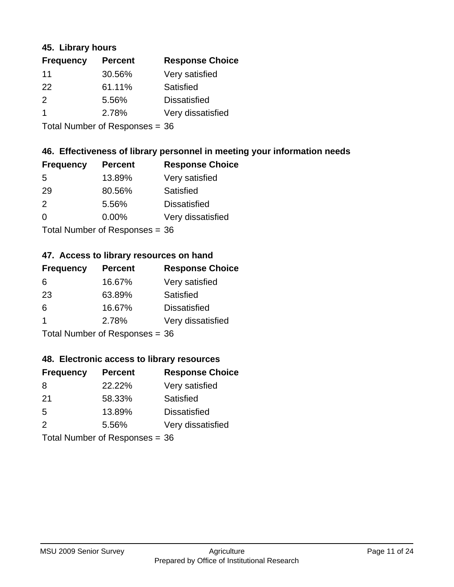#### **45. Library hours**

| <b>Frequency</b>     | <b>Percent</b> | <b>Response Choice</b> |
|----------------------|----------------|------------------------|
| 11                   | 30.56%         | Very satisfied         |
| 22                   | 61.11%         | Satisfied              |
| $\mathcal{P}$        | 5.56%          | <b>Dissatisfied</b>    |
| $\blacktriangleleft$ | 2.78%          | Very dissatisfied      |
|                      |                |                        |

Total Number of Responses = 36

#### **46. Effectiveness of library personnel in meeting your information needs**

| <b>Frequency</b> | <b>Percent</b> | <b>Response Choice</b> |
|------------------|----------------|------------------------|
| 5                | 13.89%         | Very satisfied         |
| 29               | 80.56%         | Satisfied              |
| $\mathcal{P}$    | 5.56%          | <b>Dissatisfied</b>    |
| $\Omega$         | 0.00%          | Very dissatisfied      |
|                  |                |                        |

Total Number of Responses = 36

#### **47. Access to library resources on hand**

| <b>Frequency</b> | <b>Percent</b>                 | <b>Response Choice</b> |
|------------------|--------------------------------|------------------------|
| 6                | 16.67%                         | Very satisfied         |
| 23               | 63.89%                         | Satisfied              |
| 6                | 16.67%                         | <b>Dissatisfied</b>    |
| -1               | 2.78%                          | Very dissatisfied      |
|                  | Total Number of Responses = 36 |                        |

#### **48. Electronic access to library resources**

| <b>Frequency</b> | <b>Percent</b>                 | <b>Response Choice</b> |
|------------------|--------------------------------|------------------------|
| 8                | 22.22%                         | Very satisfied         |
| 21               | 58.33%                         | Satisfied              |
| 5                | 13.89%                         | <b>Dissatisfied</b>    |
| 2                | 5.56%                          | Very dissatisfied      |
|                  | Total Number of Responses = 36 |                        |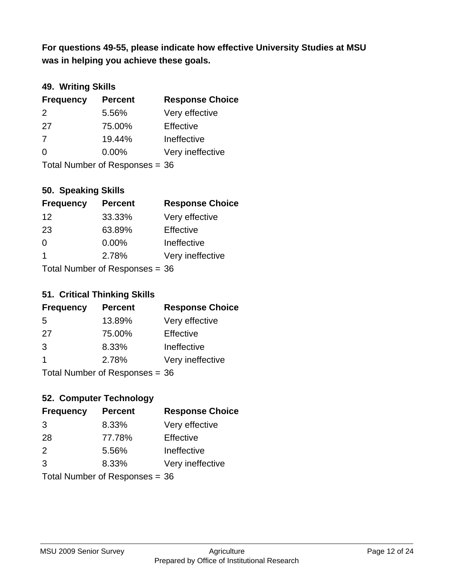**was in helping you achieve these goals. For questions 49-55, please indicate how effective University Studies at MSU** 

# **49. Writing Skills**

| <b>Frequency</b> | <b>Percent</b>                 | <b>Response Choice</b> |
|------------------|--------------------------------|------------------------|
| $\mathcal{P}$    | 5.56%                          | Very effective         |
| 27               | 75.00%                         | Effective              |
| 7                | 19.44%                         | Ineffective            |
| $\Omega$         | $0.00\%$                       | Very ineffective       |
|                  | Total Number of Responses = 36 |                        |

#### **50. Speaking Skills**

| <b>Frequency</b>               | <b>Percent</b> | <b>Response Choice</b> |
|--------------------------------|----------------|------------------------|
| 12                             | 33.33%         | Very effective         |
| 23                             | 63.89%         | Effective              |
| $\Omega$                       | 0.00%          | Ineffective            |
| $\mathbf 1$                    | 2.78%          | Very ineffective       |
| Total Number of Recnonces - 36 |                |                        |

Total Number of Responses = 36

#### **51. Critical Thinking Skills**

| <b>Frequency</b>        | <b>Percent</b>                 | <b>Response Choice</b> |
|-------------------------|--------------------------------|------------------------|
| 5                       | 13.89%                         | Very effective         |
| 27                      | 75.00%                         | Effective              |
| 3                       | 8.33%                          | Ineffective            |
| $\overline{\mathbf{1}}$ | 2.78%                          | Very ineffective       |
|                         | Total Number of Poenances - 36 |                        |

Total Number of Responses = 36

# **52. Computer Technology**

| <b>Frequency</b> | <b>Percent</b>                 | <b>Response Choice</b> |
|------------------|--------------------------------|------------------------|
| 3                | 8.33%                          | Very effective         |
| 28               | 77.78%                         | Effective              |
| 2                | 5.56%                          | Ineffective            |
| 3                | 8.33%                          | Very ineffective       |
|                  | Total Number of Responses = 36 |                        |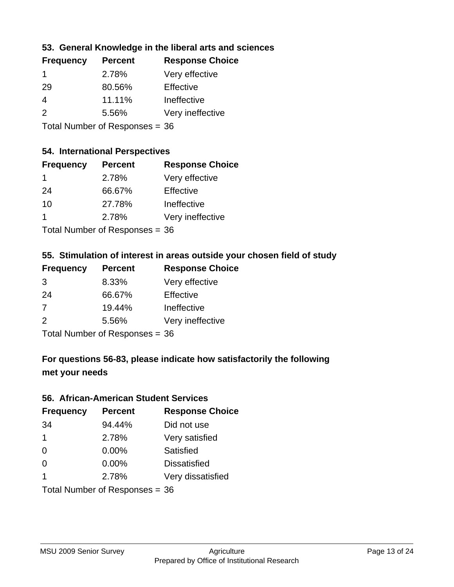#### **53. General Knowledge in the liberal arts and sciences**

| <b>Frequency</b> | <b>Percent</b> | <b>Response Choice</b> |
|------------------|----------------|------------------------|
| -1               | 2.78%          | Very effective         |
| 29               | 80.56%         | Effective              |
| 4                | 11.11%         | Ineffective            |
| $\mathcal{P}$    | 5.56%          | Very ineffective       |
|                  |                |                        |

Total Number of Responses = 36

#### **54. International Perspectives**

| <b>Frequency</b> | <b>Percent</b>            | <b>Response Choice</b> |
|------------------|---------------------------|------------------------|
| -1               | 2.78%                     | Very effective         |
| 24               | 66.67%                    | Effective              |
| 10               | 27.78%                    | Ineffective            |
| 1                | 2.78%                     | Very ineffective       |
|                  | Total Number of Deepersoo |                        |

Total Number of Responses = 36

# **55. Stimulation of interest in areas outside your chosen field of study**

| <b>Frequency</b> | <b>Percent</b>                 | <b>Response Choice</b> |
|------------------|--------------------------------|------------------------|
| 3                | 8.33%                          | Very effective         |
| 24               | 66.67%                         | Effective              |
| 7                | 19.44%                         | Ineffective            |
| 2                | 5.56%                          | Very ineffective       |
|                  | Total Number of Responses = 36 |                        |

# **For questions 56-83, please indicate how satisfactorily the following met your needs**

#### **56. African-American Student Services**

| <b>Frequency</b> | <b>Percent</b>                 | <b>Response Choice</b> |
|------------------|--------------------------------|------------------------|
| 34               | 94.44%                         | Did not use            |
| $\mathbf 1$      | 2.78%                          | Very satisfied         |
| 0                | 0.00%                          | Satisfied              |
| $\Omega$         | $0.00\%$                       | <b>Dissatisfied</b>    |
| $\mathbf 1$      | 2.78%                          | Very dissatisfied      |
|                  | Total Number of Responses = 36 |                        |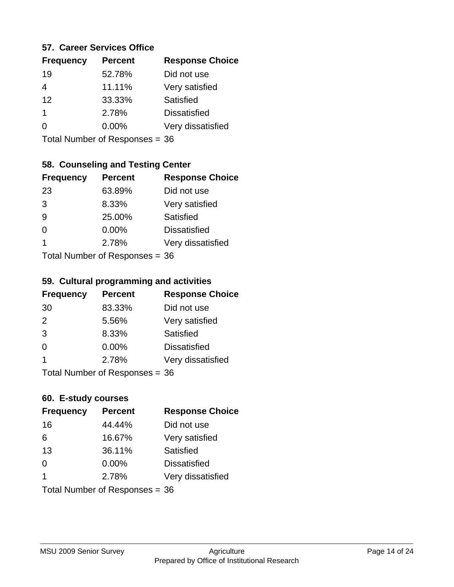#### **57. Career Services Office**

| <b>Frequency</b> | <b>Percent</b> | <b>Response Choice</b> |
|------------------|----------------|------------------------|
| 19               | 52.78%         | Did not use            |
|                  | 11.11%         | Very satisfied         |
| 12               | 33.33%         | Satisfied              |
|                  | 2.78%          | <b>Dissatisfied</b>    |
|                  | $0.00\%$       | Very dissatisfied      |
|                  |                |                        |

Total Number of Responses = 36

# **58. Counseling and Testing Center**

| <b>Frequency</b> | <b>Percent</b>            | <b>Response Choice</b> |
|------------------|---------------------------|------------------------|
| 23               | 63.89%                    | Did not use            |
| 3                | 8.33%                     | Very satisfied         |
| 9                | 25.00%                    | Satisfied              |
| 0                | 0.00%                     | <b>Dissatisfied</b>    |
| 1                | 2.78%                     | Very dissatisfied      |
|                  | Total Number of Deepersee |                        |

Total Number of Responses = 36

#### **59. Cultural programming and activities**

| <b>Frequency</b>               | <b>Percent</b> | <b>Response Choice</b> |
|--------------------------------|----------------|------------------------|
| 30                             | 83.33%         | Did not use            |
| 2                              | 5.56%          | Very satisfied         |
| 3                              | 8.33%          | Satisfied              |
| $\Omega$                       | $0.00\%$       | <b>Dissatisfied</b>    |
| 1                              | 2.78%          | Very dissatisfied      |
| Total Number of Responses = 36 |                |                        |

#### **60. E-study courses**

| <b>Frequency</b> | <b>Percent</b>                 | <b>Response Choice</b> |
|------------------|--------------------------------|------------------------|
| 16               | 44.44%                         | Did not use            |
| 6                | 16.67%                         | Very satisfied         |
| 13               | 36.11%                         | Satisfied              |
| $\Omega$         | $0.00\%$                       | <b>Dissatisfied</b>    |
| $\overline{1}$   | 2.78%                          | Very dissatisfied      |
|                  | Total Number of Responses = 36 |                        |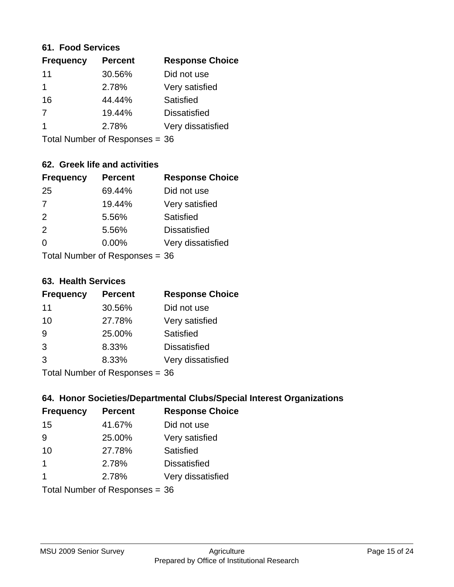#### **61. Food Services**

| <b>Frequency</b> | <b>Percent</b> | <b>Response Choice</b> |
|------------------|----------------|------------------------|
| 11               | 30.56%         | Did not use            |
| 1                | 2.78%          | Very satisfied         |
| 16               | 44.44%         | Satisfied              |
| 7                | 19.44%         | <b>Dissatisfied</b>    |
| 1                | 2.78%          | Very dissatisfied      |
|                  |                |                        |

Total Number of Responses = 36

# **62. Greek life and activities**

| <b>Frequency</b> | <b>Percent</b>                 | <b>Response Choice</b> |
|------------------|--------------------------------|------------------------|
| 25               | 69.44%                         | Did not use            |
| $\overline{7}$   | 19.44%                         | Very satisfied         |
| 2                | 5.56%                          | Satisfied              |
| 2                | 5.56%                          | <b>Dissatisfied</b>    |
| 0                | $0.00\%$                       | Very dissatisfied      |
|                  | Total Number of Responses = 36 |                        |

**63. Health Services**

| <b>Frequency</b> | <b>Percent</b>            | <b>Response Choice</b> |
|------------------|---------------------------|------------------------|
| 11               | 30.56%                    | Did not use            |
| 10               | 27.78%                    | Very satisfied         |
| 9                | 25.00%                    | Satisfied              |
| 3                | 8.33%                     | <b>Dissatisfied</b>    |
| 3                | 8.33%                     | Very dissatisfied      |
|                  | Total Number of Deepersee |                        |

Total Number of Responses = 36

#### **64. Honor Societies/Departmental Clubs/Special Interest Organizations**

| <b>Frequency</b> | <b>Percent</b>                 | <b>Response Choice</b> |
|------------------|--------------------------------|------------------------|
| 15               | 41.67%                         | Did not use            |
| 9                | 25.00%                         | Very satisfied         |
| 10               | 27.78%                         | Satisfied              |
| $\mathbf 1$      | 2.78%                          | <b>Dissatisfied</b>    |
| $\mathbf 1$      | 2.78%                          | Very dissatisfied      |
|                  | Total Number of Responses = 36 |                        |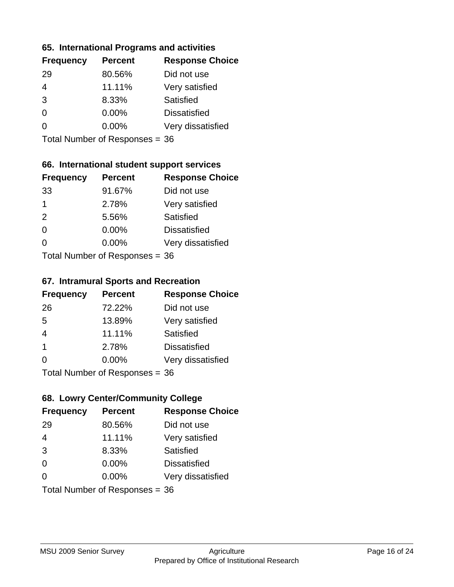#### **65. International Programs and activities**

| <b>Frequency</b> | <b>Percent</b> | <b>Response Choice</b> |
|------------------|----------------|------------------------|
| 29               | 80.56%         | Did not use            |
| 4                | 11.11%         | Very satisfied         |
| 3                | 8.33%          | Satisfied              |
| $\Omega$         | 0.00%          | <b>Dissatisfied</b>    |
|                  | $0.00\%$       | Very dissatisfied      |
|                  |                |                        |

Total Number of Responses = 36

# **66. International student support services**

| <b>Frequency</b> | <b>Percent</b>            | <b>Response Choice</b> |
|------------------|---------------------------|------------------------|
| 33               | 91.67%                    | Did not use            |
| 1                | 2.78%                     | Very satisfied         |
| 2                | 5.56%                     | Satisfied              |
| $\Omega$         | 0.00%                     | <b>Dissatisfied</b>    |
| $\Omega$         | $0.00\%$                  | Very dissatisfied      |
|                  | Total Number of Deepersee |                        |

Total Number of Responses = 36

#### **67. Intramural Sports and Recreation**

| <b>Frequency</b> | <b>Percent</b>               | <b>Response Choice</b> |
|------------------|------------------------------|------------------------|
| 26               | 72.22%                       | Did not use            |
| 5                | 13.89%                       | Very satisfied         |
| $\overline{4}$   | 11.11%                       | Satisfied              |
| -1               | 2.78%                        | <b>Dissatisfied</b>    |
| $\Omega$         | 0.00%                        | Very dissatisfied      |
|                  | $Total Number of Denonce 26$ |                        |

Total Number of Responses = 36

# **68. Lowry Center/Community College**

| <b>Frequency</b> | <b>Percent</b>                 | <b>Response Choice</b> |
|------------------|--------------------------------|------------------------|
| 29               | 80.56%                         | Did not use            |
| $\overline{4}$   | 11.11%                         | Very satisfied         |
| 3                | 8.33%                          | Satisfied              |
| $\Omega$         | 0.00%                          | <b>Dissatisfied</b>    |
| $\Omega$         | $0.00\%$                       | Very dissatisfied      |
|                  | Total Number of Responses = 36 |                        |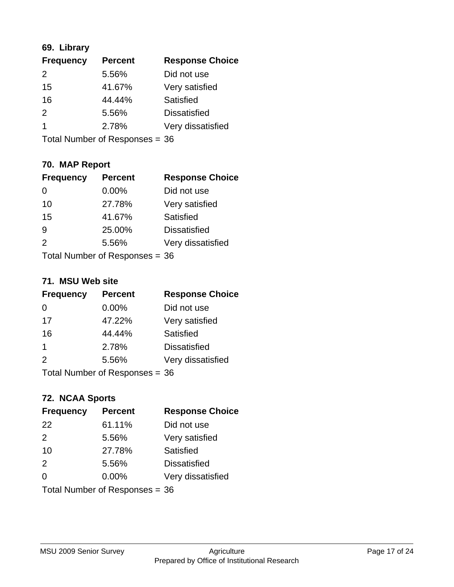# **69. Library**

| <b>Frequency</b> | <b>Percent</b> | <b>Response Choice</b> |
|------------------|----------------|------------------------|
| 2                | 5.56%          | Did not use            |
| 15               | 41.67%         | Very satisfied         |
| 16               | 44.44%         | Satisfied              |
| $\mathcal{P}$    | 5.56%          | <b>Dissatisfied</b>    |
|                  | 2.78%          | Very dissatisfied      |
|                  |                |                        |

Total Number of Responses = 36

# **70. MAP Report**

| <b>Frequency</b> | <b>Percent</b>                 | <b>Response Choice</b> |
|------------------|--------------------------------|------------------------|
|                  | 0.00%                          | Did not use            |
| 10               | 27.78%                         | Very satisfied         |
| 15               | 41.67%                         | Satisfied              |
| 9                | 25.00%                         | <b>Dissatisfied</b>    |
| $\mathcal{P}$    | 5.56%                          | Very dissatisfied      |
|                  | Total Number of Responses = 36 |                        |

#### **71. MSU Web site**

| <b>Frequency</b> | <b>Percent</b>                 | <b>Response Choice</b> |
|------------------|--------------------------------|------------------------|
| 0                | 0.00%                          | Did not use            |
| 17               | 47.22%                         | Very satisfied         |
| 16               | 44.44%                         | Satisfied              |
| 1                | 2.78%                          | <b>Dissatisfied</b>    |
| 2                | 5.56%                          | Very dissatisfied      |
|                  | Total Number of Responses = 36 |                        |

## **72. NCAA Sports**

| <b>Frequency</b> | <b>Percent</b>                 | <b>Response Choice</b> |
|------------------|--------------------------------|------------------------|
| 22               | 61.11%                         | Did not use            |
| 2                | 5.56%                          | Very satisfied         |
| 10               | 27.78%                         | Satisfied              |
| 2                | 5.56%                          | <b>Dissatisfied</b>    |
| $\Omega$         | 0.00%                          | Very dissatisfied      |
|                  | Total Number of Responses = 36 |                        |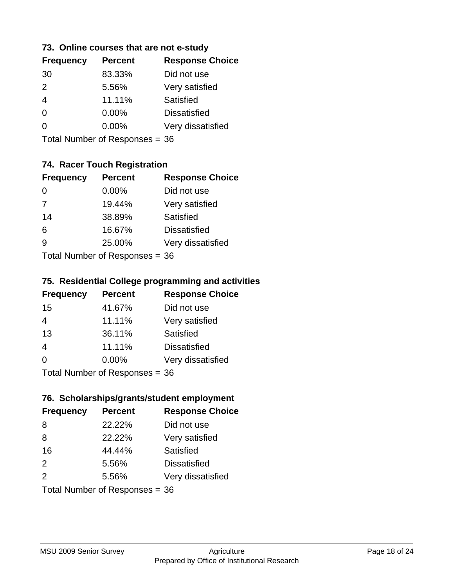#### **73. Online courses that are not e-study**

| <b>Frequency</b> | <b>Percent</b> | <b>Response Choice</b> |
|------------------|----------------|------------------------|
| 30               | 83.33%         | Did not use            |
| $\mathcal{P}$    | 5.56%          | Very satisfied         |
| 4                | 11.11%         | Satisfied              |
| 0                | $0.00\%$       | <b>Dissatisfied</b>    |
|                  | $0.00\%$       | Very dissatisfied      |
|                  |                |                        |

Total Number of Responses = 36

# **74. Racer Touch Registration**

| <b>Frequency</b>          | <b>Percent</b> | <b>Response Choice</b> |
|---------------------------|----------------|------------------------|
| $\Omega$                  | $0.00\%$       | Did not use            |
| $\overline{7}$            | 19.44%         | Very satisfied         |
| 14                        | 38.89%         | <b>Satisfied</b>       |
| 6                         | 16.67%         | <b>Dissatisfied</b>    |
| <u>g</u>                  | 25.00%         | Very dissatisfied      |
| Total Number of Desponses |                |                        |

Total Number of Responses = 36

#### **75. Residential College programming and activities**

| <b>Frequency</b>          | <b>Percent</b> | <b>Response Choice</b> |
|---------------------------|----------------|------------------------|
| 15                        | 41.67%         | Did not use            |
| 4                         | 11.11%         | Very satisfied         |
| 13                        | 36.11%         | Satisfied              |
| $\overline{4}$            | 11.11%         | <b>Dissatisfied</b>    |
| $\Omega$                  | $0.00\%$       | Very dissatisfied      |
| Total Number of Desponses |                |                        |

Total Number of Responses = 36

#### **76. Scholarships/grants/student employment**

| <b>Frequency</b>               | <b>Percent</b> | <b>Response Choice</b> |
|--------------------------------|----------------|------------------------|
| 8                              | 22.22%         | Did not use            |
| 8                              | 22.22%         | Very satisfied         |
| 16                             | 44.44%         | Satisfied              |
| 2                              | 5.56%          | <b>Dissatisfied</b>    |
| 2                              | 5.56%          | Very dissatisfied      |
| Total Number of Responses = 36 |                |                        |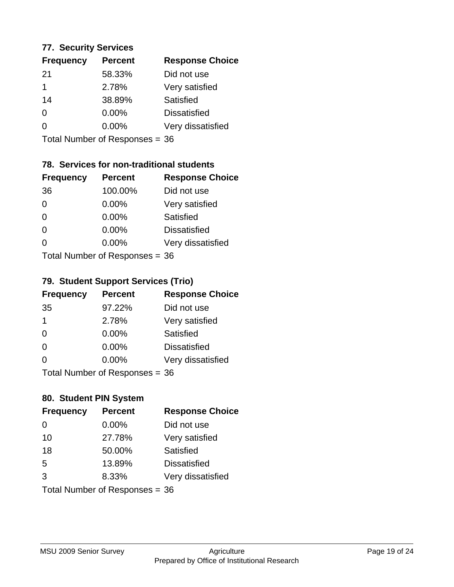#### **77. Security Services**

| <b>Frequency</b> | <b>Percent</b> | <b>Response Choice</b> |
|------------------|----------------|------------------------|
| -21              | 58.33%         | Did not use            |
|                  | 2.78%          | Very satisfied         |
| 14               | 38.89%         | Satisfied              |
| 0                | $0.00\%$       | <b>Dissatisfied</b>    |
| O                | $0.00\%$       | Very dissatisfied      |
|                  |                |                        |

Total Number of Responses = 36

# **78. Services for non-traditional students**

| <b>Frequency</b>          | <b>Percent</b> | <b>Response Choice</b> |
|---------------------------|----------------|------------------------|
| 36                        | 100.00%        | Did not use            |
| $\Omega$                  | 0.00%          | Very satisfied         |
| $\Omega$                  | 0.00%          | <b>Satisfied</b>       |
| $\Omega$                  | 0.00%          | <b>Dissatisfied</b>    |
| $\Omega$                  | 0.00%          | Very dissatisfied      |
| Total Number of Desponses |                |                        |

Total Number of Responses = 36

#### **79. Student Support Services (Trio)**

| <b>Frequency</b> | <b>Percent</b>                  | <b>Response Choice</b> |
|------------------|---------------------------------|------------------------|
| 35               | 97.22%                          | Did not use            |
| $\mathbf 1$      | 2.78%                           | Very satisfied         |
| $\Omega$         | 0.00%                           | Satisfied              |
| $\Omega$         | 0.00%                           | <b>Dissatisfied</b>    |
| $\Omega$         | 0.00%                           | Very dissatisfied      |
|                  | $Total Number of Denonose = 26$ |                        |

Total Number of Responses = 36

# **80. Student PIN System**

| <b>Frequency</b> | <b>Percent</b>                 | <b>Response Choice</b> |
|------------------|--------------------------------|------------------------|
| $\Omega$         | 0.00%                          | Did not use            |
| 10               | 27.78%                         | Very satisfied         |
| 18               | 50.00%                         | Satisfied              |
| 5                | 13.89%                         | <b>Dissatisfied</b>    |
| 3                | 8.33%                          | Very dissatisfied      |
|                  | Total Number of Responses = 36 |                        |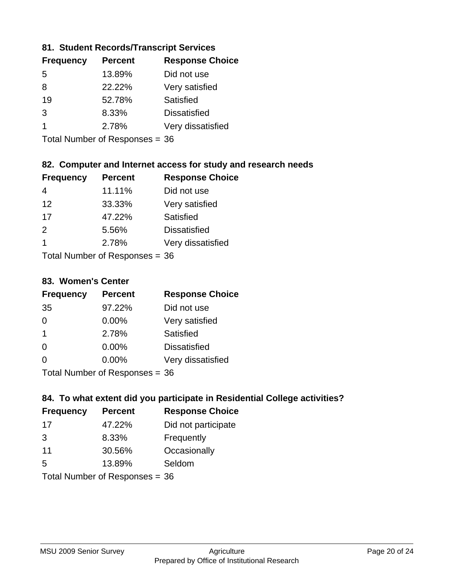#### **81. Student Records/Transcript Services**

| <b>Percent</b> | <b>Response Choice</b> |
|----------------|------------------------|
| 13.89%         | Did not use            |
| 22.22%         | Very satisfied         |
| 52.78%         | Satisfied              |
| 8.33%          | <b>Dissatisfied</b>    |
| 2.78%          | Very dissatisfied      |
|                |                        |

Total Number of Responses = 36

# **82. Computer and Internet access for study and research needs**

| <b>Frequency</b>         | <b>Percent</b> | <b>Response Choice</b> |  |
|--------------------------|----------------|------------------------|--|
| 4                        | 11.11%         | Did not use            |  |
| 12                       | 33.33%         | Very satisfied         |  |
| 17                       | 47.22%         | Satisfied              |  |
| $\mathcal{P}$            | 5.56%          | <b>Dissatisfied</b>    |  |
| 1                        | 2.78%          | Very dissatisfied      |  |
| Tatal Massakan af Danmar |                |                        |  |

Total Number of Responses = 36

#### **83. Women's Center**

| <b>Frequency</b>          | <b>Percent</b> | <b>Response Choice</b> |
|---------------------------|----------------|------------------------|
| 35                        | 97.22%         | Did not use            |
| $\Omega$                  | 0.00%          | Very satisfied         |
| $\mathbf 1$               | 2.78%          | <b>Satisfied</b>       |
| $\Omega$                  | $0.00\%$       | <b>Dissatisfied</b>    |
| $\Omega$                  | 0.00%          | Very dissatisfied      |
| Total Number of Desponses |                |                        |

Total Number of Responses = 36

#### **84. To what extent did you participate in Residential College activities?**

| <b>Frequency</b> | <b>Percent</b>                  | <b>Response Choice</b> |  |
|------------------|---------------------------------|------------------------|--|
| 17               | 47.22%                          | Did not participate    |  |
| 3                | 8.33%                           | Frequently             |  |
| 11               | 30.56%                          | Occasionally           |  |
| .5               | 13.89%                          | Seldom                 |  |
|                  | $Total Number of Denonose = 26$ |                        |  |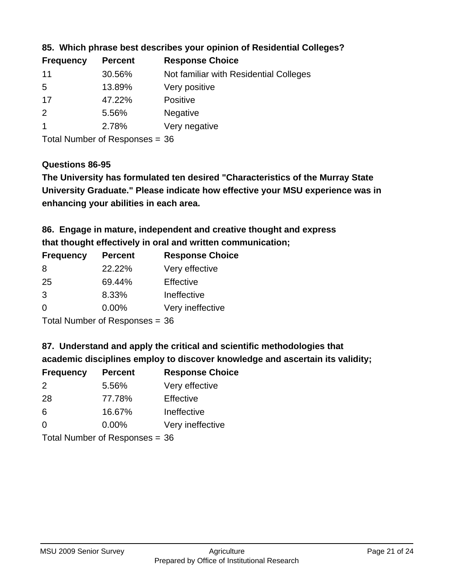| <b>Frequency</b> | <b>Percent</b> | <b>Response Choice</b>                 |
|------------------|----------------|----------------------------------------|
| 11               | 30.56%         | Not familiar with Residential Colleges |
| -5               | 13.89%         | Very positive                          |
| 17               | 47.22%         | Positive                               |
| $\overline{2}$   | 5.56%          | <b>Negative</b>                        |
|                  | 2.78%          | Very negative                          |
|                  |                |                                        |

**85. Which phrase best describes your opinion of Residential Colleges?**

Total Number of Responses = 36

#### **Questions 86-95**

**University Graduate." Please indicate how effective your MSU experience was in The University has formulated ten desired "Characteristics of the Murray State enhancing your abilities in each area.**

**86. Engage in mature, independent and creative thought and express that thought effectively in oral and written communication;**

| <b>Frequency</b> | <b>Percent</b> | <b>Response Choice</b> |
|------------------|----------------|------------------------|
| 8                | 22.22%         | Very effective         |
| 25               | 69.44%         | Effective              |
| $\mathcal{B}$    | 8.33%          | Ineffective            |
| $\Omega$         | $0.00\%$       | Very ineffective       |
|                  |                |                        |

Total Number of Responses = 36

**87. Understand and apply the critical and scientific methodologies that** 

**academic disciplines employ to discover knowledge and ascertain its validity;**

| <b>Frequency</b> | <b>Percent</b>            | <b>Response Choice</b> |
|------------------|---------------------------|------------------------|
| 2                | 5.56%                     | Very effective         |
| 28               | 77.78%                    | Effective              |
| 6                | 16.67%                    | Ineffective            |
| $\Omega$         | 0.00%                     | Very ineffective       |
|                  | Total Number of Deepersee |                        |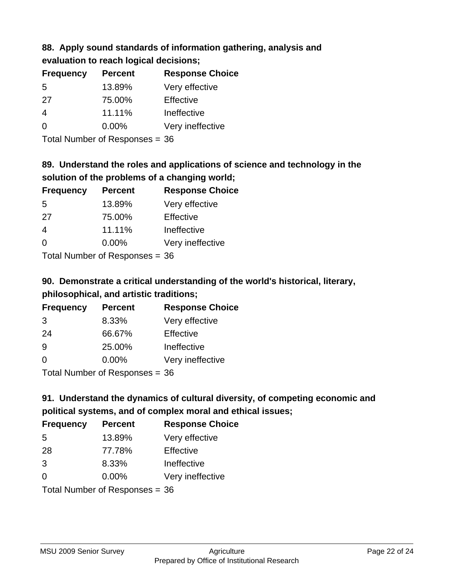# **88. Apply sound standards of information gathering, analysis and evaluation to reach logical decisions;**

| <b>Frequency</b> | <b>Percent</b> | <b>Response Choice</b> |
|------------------|----------------|------------------------|
| 5                | 13.89%         | Very effective         |
| 27               | 75.00%         | Effective              |
| 4                | 11.11%         | Ineffective            |
| $\Omega$         | $0.00\%$       | Very ineffective       |
|                  |                |                        |

Total Number of Responses = 36

# **89. Understand the roles and applications of science and technology in the solution of the problems of a changing world;**

| <b>Frequency</b>                        | <b>Percent</b> | <b>Response Choice</b> |
|-----------------------------------------|----------------|------------------------|
| 5                                       | 13.89%         | Very effective         |
| 27                                      | 75.00%         | Effective              |
| $\overline{4}$                          | 11.11%         | Ineffective            |
| $\Omega$                                | 0.00%          | Very ineffective       |
| $T$ at all Message and $D$ are a second |                |                        |

Total Number of Responses = 36

# **90. Demonstrate a critical understanding of the world's historical, literary, philosophical, and artistic traditions;**

| <b>Frequency</b> | <b>Percent</b> | <b>Response Choice</b> |
|------------------|----------------|------------------------|
| 3                | 8.33%          | Very effective         |
| 24               | 66.67%         | Effective              |
| 9                | 25.00%         | Ineffective            |
| $\Omega$         | 0.00%          | Very ineffective       |
|                  |                |                        |

Total Number of Responses = 36

# **91. Understand the dynamics of cultural diversity, of competing economic and political systems, and of complex moral and ethical issues;**

| <b>Frequency</b> | <b>Percent</b>                 | <b>Response Choice</b> |
|------------------|--------------------------------|------------------------|
| 5                | 13.89%                         | Very effective         |
| 28               | 77.78%                         | Effective              |
| 3                | 8.33%                          | Ineffective            |
| $\Omega$         | $0.00\%$                       | Very ineffective       |
|                  | Total Number of Responses = 36 |                        |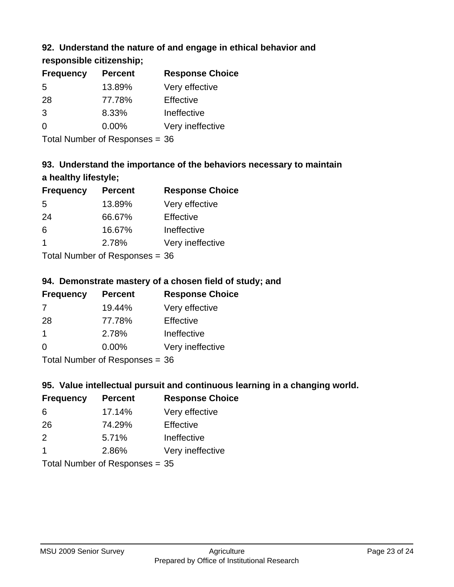# **92. Understand the nature of and engage in ethical behavior and**

**responsible citizenship;**

| <b>Frequency</b> | <b>Percent</b> | <b>Response Choice</b> |
|------------------|----------------|------------------------|
| .5               | 13.89%         | Very effective         |
| 28               | 77.78%         | Effective              |
| 3                | 8.33%          | Ineffective            |
| ∩                | $0.00\%$       | Very ineffective       |
|                  |                |                        |

Total Number of Responses = 36

# **93. Understand the importance of the behaviors necessary to maintain a healthy lifestyle;**

| <b>Frequency</b> | <b>Percent</b>             | <b>Response Choice</b> |
|------------------|----------------------------|------------------------|
| .5               | 13.89%                     | Very effective         |
| 24               | 66.67%                     | Effective              |
| 6                | 16.67%                     | Ineffective            |
| -1               | 2.78%                      | Very ineffective       |
|                  | Total Number of Desperance |                        |

Total Number of Responses = 36

# **94. Demonstrate mastery of a chosen field of study; and**

| <b>Frequency</b> | <b>Percent</b> | <b>Response Choice</b> |
|------------------|----------------|------------------------|
| 7                | 19.44%         | Very effective         |
| 28               | 77.78%         | Effective              |
|                  | 2.78%          | Ineffective            |
| $\Omega$         | 0.00%          | Very ineffective       |
|                  |                |                        |

Total Number of Responses = 36

# **95. Value intellectual pursuit and continuous learning in a changing world.**

| <b>Frequency</b> | <b>Percent</b>                                                                                                                   | <b>Response Choice</b> |
|------------------|----------------------------------------------------------------------------------------------------------------------------------|------------------------|
| 6                | 17.14%                                                                                                                           | Very effective         |
| 26               | 74.29%                                                                                                                           | Effective              |
| 2                | 5.71%                                                                                                                            | Ineffective            |
| -1               | 2.86%                                                                                                                            | Very ineffective       |
|                  | $\tau$ . $\tau$ . In the set of $\tau$ , $\tau$ , $\tau$ , $\tau$ , $\tau$ , $\tau$ , $\tau$ , $\tau$ , $\tau$ , $\tau$ , $\tau$ |                        |